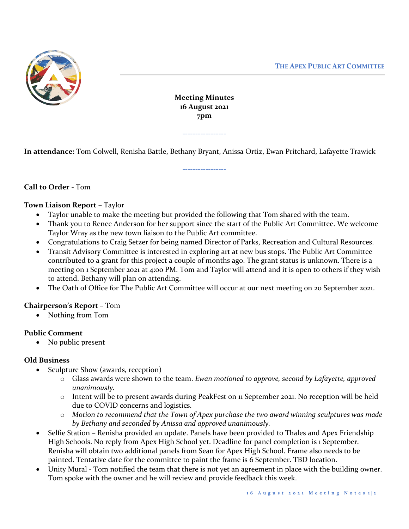

**Meeting Minutes 16 August 2021 7pm**

**-----------------**

**-----------------**

**In attendance:** Tom Colwell, Renisha Battle, Bethany Bryant, Anissa Ortiz, Ewan Pritchard, Lafayette Trawick

# **Call to Order** - Tom

### **Town Liaison Report** – Taylor

- Taylor unable to make the meeting but provided the following that Tom shared with the team.
- Thank you to Renee Anderson for her support since the start of the Public Art Committee. We welcome Taylor Wray as the new town liaison to the Public Art committee.
- Congratulations to Craig Setzer for being named Director of Parks, Recreation and Cultural Resources.
- Transit Advisory Committee is interested in exploring art at new bus stops. The Public Art Committee contributed to a grant for this project a couple of months ago. The grant status is unknown. There is a meeting on 1 September 2021 at 4:00 PM. Tom and Taylor will attend and it is open to others if they wish to attend. Bethany will plan on attending.
- The Oath of Office for The Public Art Committee will occur at our next meeting on 20 September 2021.

#### **Chairperson's Report** – Tom

• Nothing from Tom

## **Public Comment**

• No public present

#### **Old Business**

- Sculpture Show (awards, reception)
	- o Glass awards were shown to the team. *Ewan motioned to approve, second by Lafayette, approved unanimously.*
	- o Intent will be to present awards during PeakFest on 11 September 2021. No reception will be held due to COVID concerns and logistics.
	- o *Motion to recommend that the Town of Apex purchase the two award winning sculptures was made by Bethany and seconded by Anissa and approved unanimously.*
- Selfie Station Renisha provided an update. Panels have been provided to Thales and Apex Friendship High Schools. No reply from Apex High School yet. Deadline for panel completion is 1 September. Renisha will obtain two additional panels from Sean for Apex High School. Frame also needs to be painted. Tentative date for the committee to paint the frame is 6 September. TBD location.
- Unity Mural Tom notified the team that there is not yet an agreement in place with the building owner. Tom spoke with the owner and he will review and provide feedback this week.